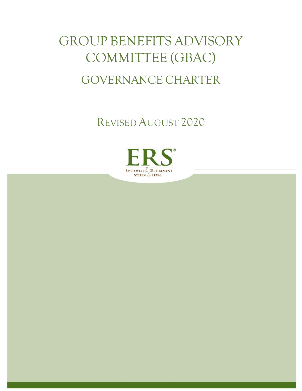# GROUP BENEFITS ADVISORY COMMITTEE (GBAC) GOVERNANCE CHARTER

REVISED AUGUST 2020

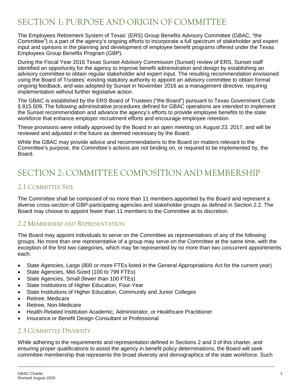# SECTION 1: PURPOSE AND ORIGIN OF COMMITTEE

The Employees Retirement System of Texas' (ERS) Group Benefits Advisory Committee (GBAC, "the Committee") is a part of the agency's ongoing efforts to incorporate a full spectrum of stakeholder and expert input and opinions in the planning and development of employee benefit programs offered under the Texas Employees Group Benefits Program (GBP).

During the Fiscal Year 2016 Texas Sunset Advisory Commission (Sunset) review of ERS, Sunset staff identified an opportunity for the agency to improve benefit administration and design by establishing an advisory committee to obtain regular stakeholder and expert input. The resulting recommendation envisioned using the Board of Trustees' existing statutory authority to appoint an advisory committee to obtain formal ongoing feedback, and was adopted by Sunset in November 2016 as a management directive, requiring implementation without further legislative action.

The GBAC is established by the ERS Board of Trustees ("the Board") pursuant to Texas Government Code § 815.509. The following administrative procedures defined for GBAC operations are intended to implement the Sunset recommendation and advance the agency's efforts to provide employee benefits to the state workforce that enhance employer recruitment efforts and encourage employee retention.

These provisions were initially approved by the Board in an open meeting on August 23, 2017, and will be reviewed and adjusted in the future as deemed necessary by the Board.

While the GBAC may provide advice and recommendations to the Board on matters relevant to the Committee's purpose, the Committee's actions are not binding on, or required to be implemented by, the Board.

# SECTION 2: COMMITTEE COMPOSITION AND MEMBERSHIP

#### 2.1 COMMITTEE SIZE

The Committee shall be composed of no more than 11 members appointed by the Board and represent a diverse cross-section of GBP-participating agencies and stakeholder groups as defined in Section 2.2. The Board may choose to appoint fewer than 11 members to the Committee at its discretion.

#### 2.2 MEMBERSHIP AND REPRESENTATION

The Board may appoint individuals to serve on the Committee as representatives of any of the following groups. No more than one representative of a group may serve on the Committee at the same time, with the exception of the first two categories, which may be represented by no more than two concurrent appointments each.

- State Agencies, Large (800 or more FTEs listed in the General Appropriations Act for the current year)
- State Agencies, Mid-Sized (100 to 799 FTEs)
- State Agencies, Small (fewer than 100 FTEs)
- State Institutions of Higher Education, Four-Year
- State Institutions of Higher Education, Community and Junior Colleges
- Retiree, Medicare
- Retiree, Non-Medicare
- Health-Related Institution Academic, Administrator, or Healthcare Practitioner
- Insurance or Benefit Design Consultant or Professional

#### 2.3 COMMITTEE DIVERSITY

While adhering to the requirements and representation defined in Sections 2 and 3 of this charter, and ensuring proper qualifications to assist the agency in benefit policy determinations, the Board will seek committee membership that represents the broad diversity and demographics of the state workforce. Such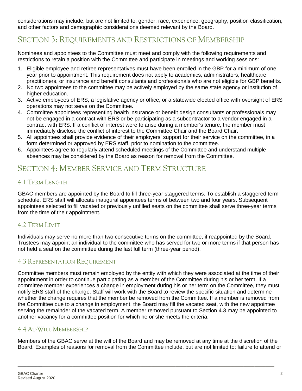considerations may include, but are not limited to: gender, race, experience, geography, position classification, and other factors and demographic considerations deemed relevant by the Board.

## SECTION 3: REQUIREMENTS AND RESTRICTIONS OF MEMBERSHIP

Nominees and appointees to the Committee must meet and comply with the following requirements and restrictions to retain a position with the Committee and participate in meetings and working sessions:

- 1. Eligible employee and retiree representatives must have been enrolled in the GBP for a minimum of one year prior to appointment. This requirement does not apply to academics, administrators, healthcare practitioners, or insurance and benefit consultants and professionals who are not eligible for GBP benefits.
- 2. No two appointees to the committee may be actively employed by the same state agency or institution of higher education.
- 3. Active employees of ERS, a legislative agency or office, or a statewide elected office with oversight of ERS operations may not serve on the Committee.
- 4. Committee appointees representing health insurance or benefit design consultants or professionals may not be engaged in a contract with ERS or be participating as a subcontractor to a vendor engaged in a contract with ERS. If a conflict of interest were to arise during a member's tenure, the member must immediately disclose the conflict of interest to the Committee Chair and the Board Chair.
- 5. All appointees shall provide evidence of their employers' support for their service on the committee, in a form determined or approved by ERS staff, prior to nomination to the committee.
- 6. Appointees agree to regularly attend scheduled meetings of the Committee and understand multiple absences may be considered by the Board as reason for removal from the Committee.

## SECTION 4: MEMBER SERVICE AND TERM STRUCTURE

#### 4.1 TERM LENGTH

GBAC members are appointed by the Board to fill three-year staggered terms. To establish a staggered term schedule, ERS staff will allocate inaugural appointees terms of between two and four years. Subsequent appointees selected to fill vacated or previously unfilled seats on the committee shall serve three-year terms from the time of their appointment.

#### 4.2 TERM LIMIT

Individuals may serve no more than two consecutive terms on the committee, if reappointed by the Board. Trustees may appoint an individual to the committee who has served for two or more terms if that person has not held a seat on the committee during the last full term (three-year period).

#### 4.3 REPRESENTATION REQUIREMENT

Committee members must remain employed by the entity with which they were associated at the time of their appointment in order to continue participating as a member of the Committee during his or her term. If a committee member experiences a change in employment during his or her term on the Committee, they must notify ERS staff of the change. Staff will work with the Board to review the specific situation and determine whether the change requires that the member be removed from the Committee. If a member is removed from the Committee due to a change in employment, the Board may fill the vacated seat, with the new appointee serving the remainder of the vacated term. A member removed pursuant to Section 4.3 may be appointed to another vacancy for a committee position for which he or she meets the criteria.

#### 4.4 AT-WILL MEMBERSHIP

Members of the GBAC serve at the will of the Board and may be removed at any time at the discretion of the Board. Examples of reasons for removal from the Committee include, but are not limited to: failure to attend or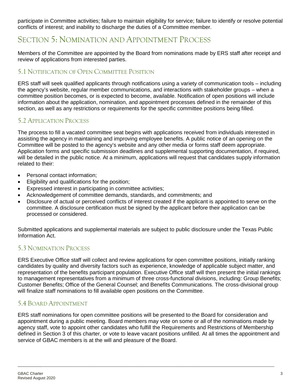participate in Committee activities; failure to maintain eligibility for service; failure to identify or resolve potential conflicts of interest; and inability to discharge the duties of a Committee member.

## SECTION 5: NOMINATION AND APPOINTMENT PROCESS

Members of the Committee are appointed by the Board from nominations made by ERS staff after receipt and review of applications from interested parties.

#### 5.1 NOTIFICATION OF OPEN COMMITTEE POSITION

ERS staff will seek qualified applicants through notifications using a variety of communication tools – including the agency's website, regular member communications, and interactions with stakeholder groups – when a committee position becomes, or is expected to become, available. Notification of open positions will include information about the application, nomination, and appointment processes defined in the remainder of this section, as well as any restrictions or requirements for the specific committee positions being filled.

#### 5.2 APPLICATION PROCESS

The process to fill a vacated committee seat begins with applications received from individuals interested in assisting the agency in maintaining and improving employee benefits. A public notice of an opening on the Committee will be posted to the agency's website and any other media or forms staff deem appropriate. Application forms and specific submission deadlines and supplemental supporting documentation, if required, will be detailed in the public notice. At a minimum, applications will request that candidates supply information related to their:

- Personal contact information;
- Eligibility and qualifications for the position;
- Expressed interest in participating in committee activities;
- Acknowledgement of committee demands, standards, and commitments; and
- Disclosure of actual or perceived conflicts of interest created if the applicant is appointed to serve on the committee. A disclosure certification must be signed by the applicant before their application can be processed or considered.

Submitted applications and supplemental materials are subject to public disclosure under the Texas Public Information Act.

#### 5.3 NOMINATION PROCESS

ERS Executive Office staff will collect and review applications for open committee positions, initially ranking candidates by quality and diversity factors such as experience, knowledge of applicable subject matter, and representation of the benefits participant population. Executive Office staff will then present the initial rankings to management representatives from a minimum of three cross-functional divisions, including: Group Benefits; Customer Benefits; Office of the General Counsel; and Benefits Communications. The cross-divisional group will finalize staff nominations to fill available open positions on the Committee.

#### 5.4 BOARD APPOINTMENT

ERS staff nominations for open committee positions will be presented to the Board for consideration and appointment during a public meeting. Board members may vote on some or all of the nominations made by agency staff, vote to appoint other candidates who fulfill the Requirements and Restrictions of Membership defined in Section 3 of this charter, or vote to leave vacant positions unfilled. At all times the appointment and service of GBAC members is at the will and pleasure of the Board.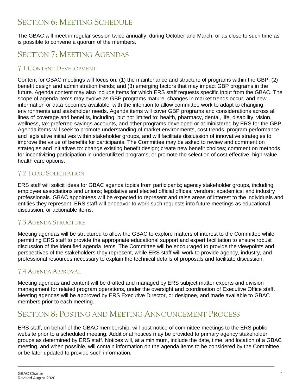## SECTION 6: MEETING SCHEDULE

The GBAC will meet in regular session twice annually, during October and March, or as close to such time as is possible to convene a quorum of the members.

# SECTION 7: MEETING AGENDAS

#### 7.1 CONTENT DEVELOPMENT

Content for GBAC meetings will focus on: (1) the maintenance and structure of programs within the GBP; (2) benefit design and administration trends; and (3) emerging factors that may impact GBP programs in the future. Agenda content may also include items for which ERS staff requests specific input from the GBAC. The scope of agenda items may evolve as GBP programs mature, changes in market trends occur, and new information or data becomes available, with the intention to allow committee work to adapt to changing environments and stakeholder needs. Agenda items will cover GBP programs and considerations across all lines of coverage and benefits, including, but not limited to: health, pharmacy, dental, life, disability, vision, wellness, tax-preferred savings accounts, and other programs developed or administered by ERS for the GBP. Agenda items will seek to promote understanding of market environments, cost trends, program performance and legislative initiatives within stakeholder groups, and will facilitate discussion of innovative strategies to improve the value of benefits for participants. The Committee may be asked to review and comment on strategies and initiatives to: change existing benefit design; create new benefit choices; comment on methods for incentivizing participation in underutilized programs; or promote the selection of cost-effective, high-value health care options.

#### 7.2 TOPIC SOLICITATION

ERS staff will solicit ideas for GBAC agenda topics from participants; agency stakeholder groups, including employee associations and unions; legislative and elected official offices; vendors; academics; and industry professionals. GBAC appointees will be expected to represent and raise areas of interest to the individuals and entities they represent. ERS staff will endeavor to work such requests into future meetings as educational, discussion, or actionable items.

#### 7.3 AGENDA STRUCTURE

Meeting agendas will be structured to allow the GBAC to explore matters of interest to the Committee while permitting ERS staff to provide the appropriate educational support and expert facilitation to ensure robust discussion of the identified agenda items. The Committee will be encouraged to provide the viewpoints and perspectives of the stakeholders they represent, while ERS staff will work to provide agency, industry, and professional resources necessary to explain the technical details of proposals and facilitate discussion.

#### 7.4 AGENDA APPROVAL

Meeting agendas and content will be drafted and managed by ERS subject matter experts and division management for related program operations, under the oversight and coordination of Executive Office staff. Meeting agendas will be approved by ERS Executive Director, or designee, and made available to GBAC members prior to each meeting.

## SECTION 8: POSTING AND MEETING ANNOUNCEMENT PROCESS

ERS staff, on behalf of the GBAC membership, will post notice of committee meetings to the ERS public website prior to a scheduled meeting. Additional notices may be provided to primary agency stakeholder groups as determined by ERS staff. Notices will, at a minimum, include the date, time, and location of a GBAC meeting, and when possible, will contain information on the agenda items to be considered by the Committee, or be later updated to provide such information.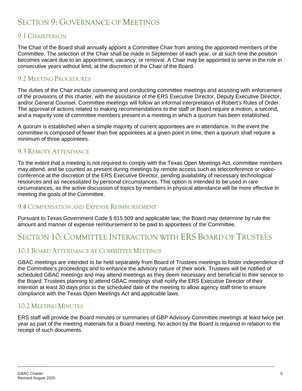# SECTION 9: GOVERNANCE OF MEETINGS

#### 9.1 CHAIRPERSON

The Chair of the Board shall annually appoint a Committee Chair from among the appointed members of the Committee. The selection of the Chair shall be made in September of each year, or at such time the position becomes vacant due to an appointment, vacancy, or removal. A Chair may be appointed to serve in the role in consecutive years without limit, at the discretion of the Chair of the Board.

#### 9.2 MEETING PROCEDURES

The duties of the Chair include convening and conducting committee meetings and assisting with enforcement of the provisions of this charter, with the assistance of the ERS Executive Director, Deputy Executive Director, and/or General Counsel. Committee meetings will follow an informal interpretation of Robert's Rules of Order. The approval of actions related to making recommendations to the staff or Board require a motion, a second, and a majority vote of committee members present in a meeting in which a quorum has been established.

A quorum is established when a simple majority of current appointees are in attendance. In the event the committee is composed of fewer than five appointees at a given point in time, then a quorum shall require a minimum of three appointees.

#### 9.3 REMOTE ATTENDANCE

To the extent that a meeting is not required to comply with the Texas Open Meetings Act, committee members may attend, and be counted as present during meetings by remote access such as teleconference or videoconference at the discretion of the ERS Executive Director, pending availability of necessary technological resources and as necessitated by personal circumstances. This option is intended to be used in rare circumstances, as the active discussion of topics by members in physical attendance will be more effective in meeting the goals of the Committee.

#### 9.4 COMPENSATION AND EXPENSE REIMBURSEMENT

Pursuant to Texas Government Code § 815.509 and applicable law, the Board may determine by rule the amount and manner of expense reimbursement to be paid to appointees of the Committee.

## SECTION 10: COMMITTEE INTERACTION WITH ERS BOARD OF TRUSTEES

#### 10.1 BOARD ATTENDANCE AT COMMITTEE MEETINGS

GBAC meetings are intended to be held separately from Board of Trustees meetings to foster independence of the Committee's proceedings and to enhance the advisory nature of their work. Trustees will be notified of scheduled GBAC meetings and may attend meetings as they deem necessary and beneficial to their service to the Board. Trustees planning to attend GBAC meetings shall notify the ERS Executive Director of their intention at least 30 days prior to the scheduled date of the meeting to allow agency staff time to ensure compliance with the Texas Open Meetings Act and applicable laws.

#### 10.2 MEETING MINUTES

ERS staff will provide the Board minutes or summaries of GBP Advisory Committee meetings at least twice per year as part of the meeting materials for a Board meeting. No action by the Board is required in relation to the receipt of such documents.